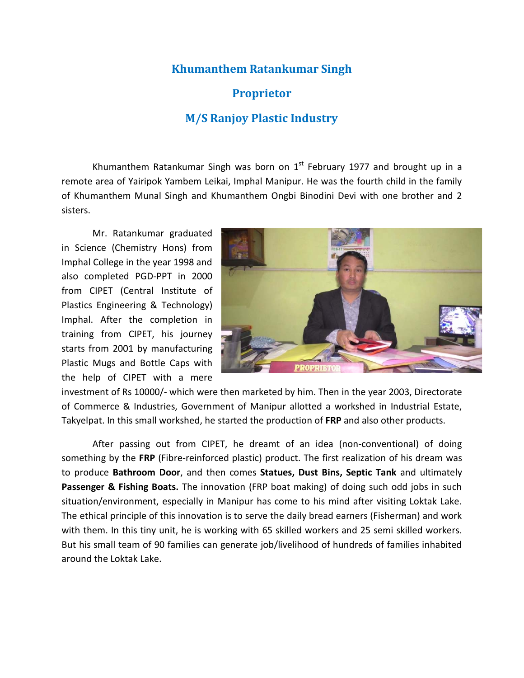# **Khumanthem Ratankumar Singh**

# **Proprietor**

# **M/S Ranjoy Plastic Industry**

Khumanthem Ratankumar Singh was born on  $1<sup>st</sup>$  February 1977 and brought up in a remote area of Yairipok Yambem Leikai, Imphal Manipur. He was the fourth child in the family of Khumanthem Munal Singh and Khumanthem Ongbi Binodini Devi with one brother and 2 sisters.

Mr. Ratankumar graduated in Science (Chemistry Hons) from Imphal College in the year 1998 and also completed PGD-PPT in 2000 from CIPET (Central Institute of Plastics Engineering & Technology) Imphal. After the completion in training from CIPET, his journey starts from 2001 by manufacturing Plastic Mugs and Bottle Caps with the help of CIPET with a mere



investment of Rs 10000/- which were then marketed by him. Then in the year 2003, Directorate of Commerce & Industries, Government of Manipur allotted a workshed in Industrial Estate, Takyelpat. In this small workshed, he started the production of **FRP** and also other products.

After passing out from CIPET, he dreamt of an idea (non-conventional) of doing something by the **FRP** (Fibre-reinforced plastic) product. The first realization of his dream was to produce **Bathroom Door**, and then comes **Statues, Dust Bins, Septic Tank** and ultimately Passenger & Fishing Boats. The innovation (FRP boat making) of doing such odd jobs in such situation/environment, especially in Manipur has come to his mind after visiting Loktak Lake. The ethical principle of this innovation is to serve the daily bread earners (Fisherman) and work with them. In this tiny unit, he is working with 65 skilled workers and 25 semi skilled workers. But his small team of 90 families can generate job/livelihood of hundreds of families inhabited around the Loktak Lake.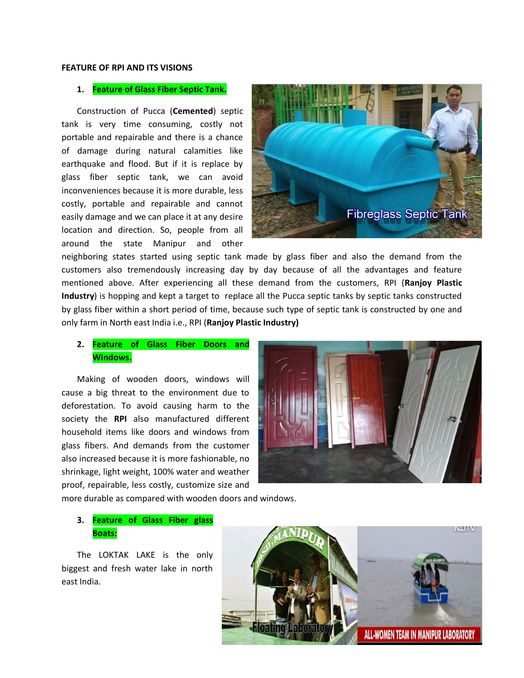#### **FEATURE OF RPI AND ITS VISIONS**

### **1. Feature of Glass Fiber Septic Tank.**

Construction of Pucca (**Cemented**) septic tank is very time consuming, costly not portable and repairable and there is a chance of damage during natural calamities like earthquake and flood. But if it is replace by glass fiber septic tank, we can avoid inconveniences because it is more durable, less costly, portable and repairable and cannot easily damage and we can place it at any desire location and direction. So, people from all around the state Manipur and other



neighboring states started using septic tank made by glass fiber and also the demand from the customers also tremendously increasing day by day because of all the advantages and feature mentioned above. After experiencing all these demand from the customers, RPI (**Ranjoy Plastic Industry**) is hopping and kept a target to replace all the Pucca septic tanks by septic tanks constructed by glass fiber within a short period of time, because such type of septic tank is constructed by one and only farm in North east India i.e., RPI (**Ranjoy Plastic Industry)**

### **2. Feature of Glass Fiber Doors and Windows.**

Making of wooden doors, windows will cause a big threat to the environment due to deforestation. To avoid causing harm to the society the **RPI** also manufactured different household items like doors and windows from glass fibers. And demands from the customer also increased because it is more fashionable, no shrinkage, light weight, 100% water and weather proof, repairable, less costly, customize size and



more durable as compared with wooden doors and windows.

### **3. Feature of Glass Fiber glass Boats:**

The LOKTAK LAKE is the only biggest and fresh water lake in north east India.

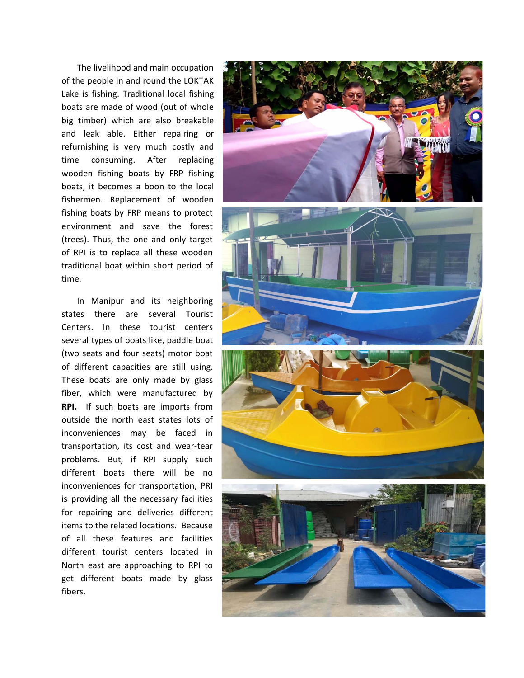The livelihood and main occupation of the people in and round the LOKTAK Lake is fishing. Traditional local fishing boats are made of wood (out of whole big timber) which are also breakable and leak able. Either repairing or refurnishing is very much costly and time consuming. After replacing wooden fishing boats by FRP fishing boats, it becomes a boon to the local fishermen. Replacement of wooden fishing boats by FRP means to protect environment and save the forest (trees). Thus, the one and only target of RPI is to replace all these wooden traditional boat within short period of time.

In Manipur and its neighboring states there are several Tourist Centers. In these tourist centers several types of boats like, paddle boat (two seats and four seats) motor boat of different capacities are still using. These boats are only made by glass fiber, which were manufactured by **RPI.** If such boats are imports from outside the north east states lots of inconveniences may be faced in transportation, its cost and wear-tear problems. But, if RPI supply such different boats there will be no inconveniences for transportation, PRI is providing all the necessary facilities for repairing and deliveries different items to the related locations. Because of all these features and facilities different tourist centers located in North east are approaching to RPI to get different boats made by glass fibers.

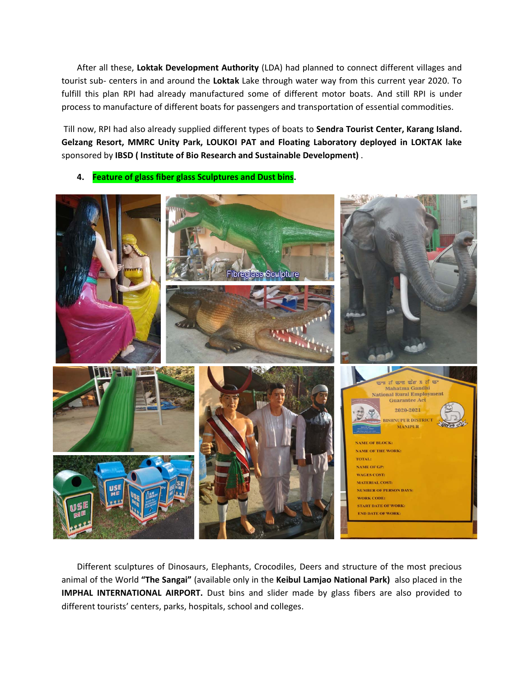After all these, **Loktak Development Authority** (LDA) had planned to connect different villages and tourist sub- centers in and around the **Loktak** Lake through water way from this current year 2020. To fulfill this plan RPI had already manufactured some of different motor boats. And still RPI is under process to manufacture of different boats for passengers and transportation of essential commodities.

Till now, RPI had also already supplied different types of boats to **Sendra Tourist Center, Karang Island. Gelzang Resort, MMRC Unity Park, LOUKOI PAT and Floating Laboratory deployed in LOKTAK lake**  sponsored by **IBSD ( Institute of Bio Research and Sustainable Development)** .

**4. Feature of glass fiber glass Sculptures and Dust bins.**



Different sculptures of Dinosaurs, Elephants, Crocodiles, Deers and structure of the most precious animal of the World **"The Sangai"** (available only in the **Keibul Lamjao National Park)** also placed in the **IMPHAL INTERNATIONAL AIRPORT.** Dust bins and slider made by glass fibers are also provided to different tourists' centers, parks, hospitals, school and colleges.